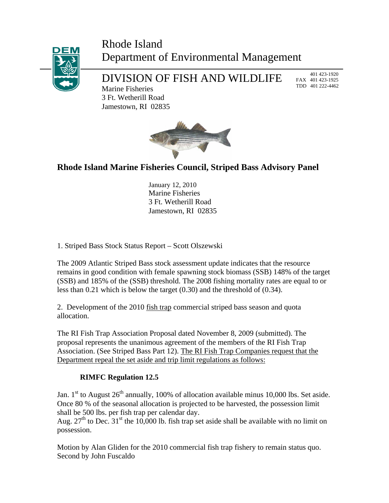## Rhode Island Department of Environmental Management



# DIVISION OF FISH AND WILDLIFE

 401 423-1920 FAX 401 423-1925 TDD 401 222-4462

Marine Fisheries 3 Ft. Wetherill Road Jamestown, RI 02835



## **Rhode Island Marine Fisheries Council, Striped Bass Advisory Panel**

January 12, 2010 Marine Fisheries 3 Ft. Wetherill Road Jamestown, RI 02835

1. Striped Bass Stock Status Report – Scott Olszewski

The 2009 Atlantic Striped Bass stock assessment update indicates that the resource remains in good condition with female spawning stock biomass (SSB) 148% of the target (SSB) and 185% of the (SSB) threshold. The 2008 fishing mortality rates are equal to or less than 0.21 which is below the target (0.30) and the threshold of (0.34).

2. Development of the 2010 fish trap commercial striped bass season and quota allocation.

The RI Fish Trap Association Proposal dated November 8, 2009 (submitted). The proposal represents the unanimous agreement of the members of the RI Fish Trap Association. (See Striped Bass Part 12). The RI Fish Trap Companies request that the Department repeal the set aside and trip limit regulations as follows:

### **RIMFC Regulation 12.5**

Jan.  $1<sup>st</sup>$  to August  $26<sup>th</sup>$  annually, 100% of allocation available minus 10,000 lbs. Set aside. Once 80 % of the seasonal allocation is projected to be harvested, the possession limit shall be 500 lbs. per fish trap per calendar day.

Aug.  $27<sup>th</sup>$  to Dec.  $31<sup>st</sup>$  the 10,000 lb. fish trap set aside shall be available with no limit on possession.

Motion by Alan Gliden for the 2010 commercial fish trap fishery to remain status quo. Second by John Fuscaldo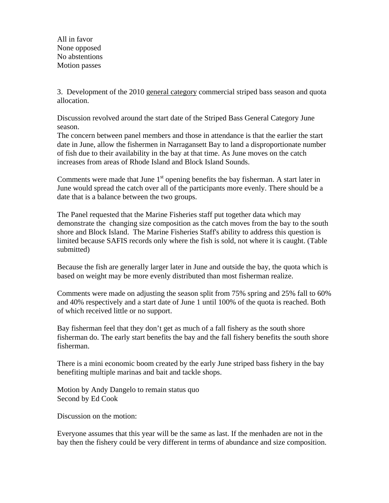All in favor None opposed No abstentions Motion passes

3. Development of the 2010 general category commercial striped bass season and quota allocation.

Discussion revolved around the start date of the Striped Bass General Category June season.

The concern between panel members and those in attendance is that the earlier the start date in June, allow the fishermen in Narragansett Bay to land a disproportionate number of fish due to their availability in the bay at that time. As June moves on the catch increases from areas of Rhode Island and Block Island Sounds.

Comments were made that June  $1<sup>st</sup>$  opening benefits the bay fisherman. A start later in June would spread the catch over all of the participants more evenly. There should be a date that is a balance between the two groups.

The Panel requested that the Marine Fisheries staff put together data which may demonstrate the changing size composition as the catch moves from the bay to the south shore and Block Island. The Marine Fisheries Staff's ability to address this question is limited because SAFIS records only where the fish is sold, not where it is caught. (Table submitted)

Because the fish are generally larger later in June and outside the bay, the quota which is based on weight may be more evenly distributed than most fisherman realize.

Comments were made on adjusting the season split from 75% spring and 25% fall to 60% and 40% respectively and a start date of June 1 until 100% of the quota is reached. Both of which received little or no support.

Bay fisherman feel that they don't get as much of a fall fishery as the south shore fisherman do. The early start benefits the bay and the fall fishery benefits the south shore fisherman.

There is a mini economic boom created by the early June striped bass fishery in the bay benefiting multiple marinas and bait and tackle shops.

Motion by Andy Dangelo to remain status quo Second by Ed Cook

Discussion on the motion:

Everyone assumes that this year will be the same as last. If the menhaden are not in the bay then the fishery could be very different in terms of abundance and size composition.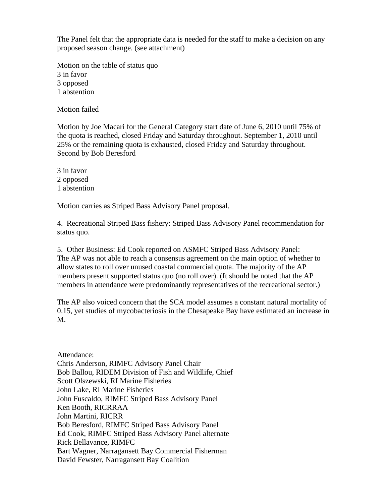The Panel felt that the appropriate data is needed for the staff to make a decision on any proposed season change. (see attachment)

Motion on the table of status quo 3 in favor 3 opposed 1 abstention

Motion failed

Motion by Joe Macari for the General Category start date of June 6, 2010 until 75% of the quota is reached, closed Friday and Saturday throughout. September 1, 2010 until 25% or the remaining quota is exhausted, closed Friday and Saturday throughout. Second by Bob Beresford

3 in favor 2 opposed 1 abstention

Motion carries as Striped Bass Advisory Panel proposal.

4. Recreational Striped Bass fishery: Striped Bass Advisory Panel recommendation for status quo.

5. Other Business: Ed Cook reported on ASMFC Striped Bass Advisory Panel: The AP was not able to reach a consensus agreement on the main option of whether to allow states to roll over unused coastal commercial quota. The majority of the AP members present supported status quo (no roll over). (It should be noted that the AP members in attendance were predominantly representatives of the recreational sector.)

The AP also voiced concern that the SCA model assumes a constant natural mortality of 0.15, yet studies of mycobacteriosis in the Chesapeake Bay have estimated an increase in M.

Attendance: Chris Anderson, RIMFC Advisory Panel Chair Bob Ballou, RIDEM Division of Fish and Wildlife, Chief Scott Olszewski, RI Marine Fisheries John Lake, RI Marine Fisheries John Fuscaldo, RIMFC Striped Bass Advisory Panel Ken Booth, RICRRAA John Martini, RICRR Bob Beresford, RIMFC Striped Bass Advisory Panel Ed Cook, RIMFC Striped Bass Advisory Panel alternate Rick Bellavance, RIMFC Bart Wagner, Narragansett Bay Commercial Fisherman David Fewster, Narragansett Bay Coalition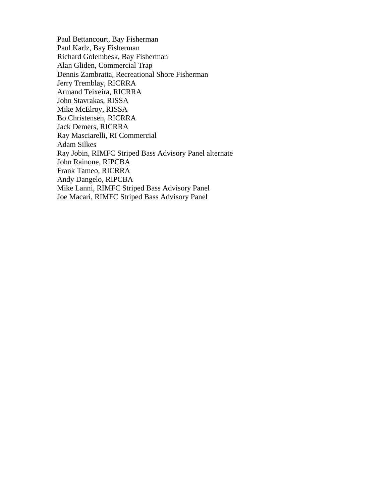Paul Bettancourt, Bay Fisherman Paul Karlz, Bay Fisherman Richard Golembesk, Bay Fisherman Alan Gliden, Commercial Trap Dennis Zambratta, Recreational Shore Fisherman Jerry Tremblay, RICRRA Armand Teixeira, RICRRA John Stavrakas, RISSA Mike McElroy, RISSA Bo Christensen, RICRRA Jack Demers, RICRRA Ray Masciarelli, RI Commercial Adam Silkes Ray Jobin, RIMFC Striped Bass Advisory Panel alternate John Rainone, RIPCBA Frank Tameo, RICRRA Andy Dangelo, RIPCBA Mike Lanni, RIMFC Striped Bass Advisory Panel Joe Macari, RIMFC Striped Bass Advisory Panel